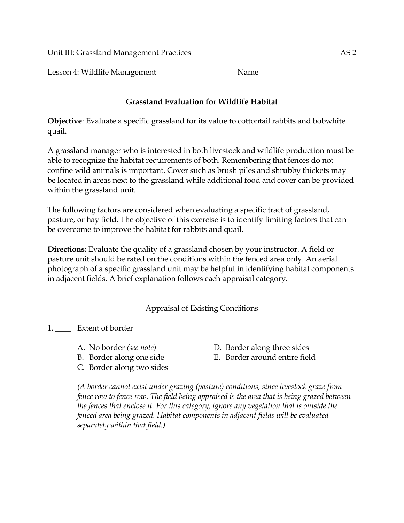Unit III: Grassland Management Practices AS 2

Lesson 4: Wildlife Management Name

## **Grassland Evaluation for Wildlife Habitat**

**Objective**: Evaluate a specific grassland for its value to cottontail rabbits and bobwhite quail.

A grassland manager who is interested in both livestock and wildlife production must be able to recognize the habitat requirements of both. Remembering that fences do not confine wild animals is important. Cover such as brush piles and shrubby thickets may be located in areas next to the grassland while additional food and cover can be provided within the grassland unit.

The following factors are considered when evaluating a specific tract of grassland, pasture, or hay field. The objective of this exercise is to identify limiting factors that can be overcome to improve the habitat for rabbits and quail.

**Directions:** Evaluate the quality of a grassland chosen by your instructor. A field or pasture unit should be rated on the conditions within the fenced area only. An aerial photograph of a specific grassland unit may be helpful in identifying habitat components in adjacent fields. A brief explanation follows each appraisal category.

## Appraisal of Existing Conditions

1. \_\_\_\_ Extent of border

- 
- 
- C. Border along two sides
- A. No border *(see note)* D. Border along three sides
- B. Border along one side E. Border around entire field

*(A border cannot exist under grazing (pasture) conditions, since livestock graze from fence row to fence row. The field being appraised is the area that is being grazed between the fences that enclose it. For this category, ignore any vegetation that is outside the fenced area being grazed. Habitat components in adjacent fields will be evaluated separately within that field.)*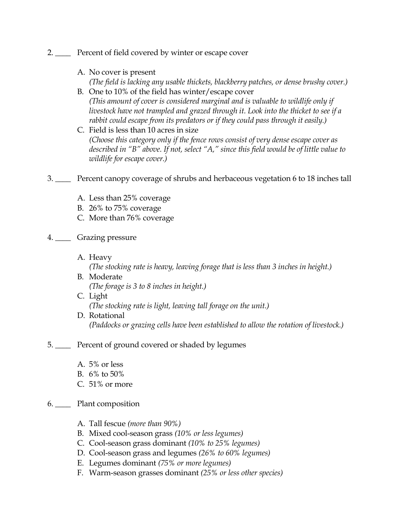- 2. \_\_\_\_ Percent of field covered by winter or escape cover
	- A. No cover is present *(The field is lacking any usable thickets, blackberry patches, or dense brushy cover.)*
	- B. One to 10% of the field has winter/escape cover *(This amount of cover is considered marginal and is valuable to wildlife only if livestock have not trampled and grazed through it. Look into the thicket to see if a rabbit could escape from its predators or if they could pass through it easily.)*
	- C. Field is less than 10 acres in size *(Choose this category only if the fence rows consist of very dense escape cover as described in "B" above. If not, select "A," since this field would be of little value to wildlife for escape cover.)*
- 3. \_\_\_\_ Percent canopy coverage of shrubs and herbaceous vegetation 6 to 18 inches tall
	- A. Less than 25% coverage
	- B. 26% to 75% coverage
	- C. More than 76% coverage
- 4. \_\_\_\_ Grazing pressure
	- A. Heavy
		- *(The stocking rate is heavy, leaving forage that is less than 3 inches in height.)*
	- B. Moderate *(The forage is 3 to 8 inches in height.)*
	- C. Light *(The stocking rate is light, leaving tall forage on the unit.)*
	- D. Rotational *(Paddocks or grazing cells have been established to allow the rotation of livestock.)*
- 5. \_\_\_\_ Percent of ground covered or shaded by legumes
	- A. 5% or less
	- B. 6% to 50%
	- C. 51% or more
- 6. \_\_\_\_ Plant composition
	- A. Tall fescue *(more than 90%)*
	- B. Mixed cool-season grass *(10% or less legumes)*
	- C. Cool-season grass dominant *(10% to 25% legumes)*
	- D. Cool-season grass and legumes *(26% to 60% legumes)*
	- E. Legumes dominant *(75% or more legumes)*
	- F. Warm-season grasses dominant *(25% or less other species)*